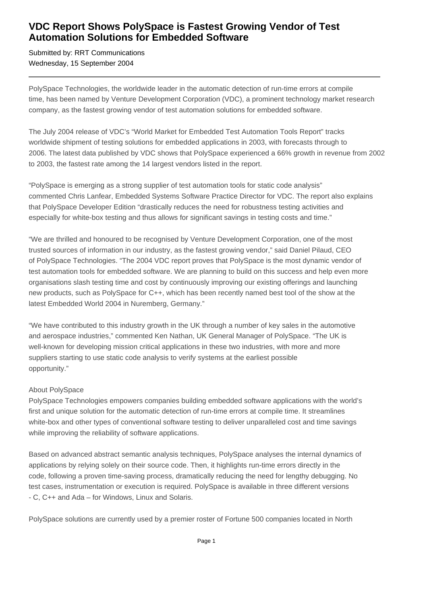## **VDC Report Shows PolySpace is Fastest Growing Vendor of Test Automation Solutions for Embedded Software**

Submitted by: RRT Communications Wednesday, 15 September 2004

PolySpace Technologies, the worldwide leader in the automatic detection of run-time errors at compile time, has been named by Venture Development Corporation (VDC), a prominent technology market research company, as the fastest growing vendor of test automation solutions for embedded software.

The July 2004 release of VDC's "World Market for Embedded Test Automation Tools Report" tracks worldwide shipment of testing solutions for embedded applications in 2003, with forecasts through to 2006. The latest data published by VDC shows that PolySpace experienced a 66% growth in revenue from 2002 to 2003, the fastest rate among the 14 largest vendors listed in the report.

"PolySpace is emerging as a strong supplier of test automation tools for static code analysis" commented Chris Lanfear, Embedded Systems Software Practice Director for VDC. The report also explains that PolySpace Developer Edition "drastically reduces the need for robustness testing activities and especially for white-box testing and thus allows for significant savings in testing costs and time."

"We are thrilled and honoured to be recognised by Venture Development Corporation, one of the most trusted sources of information in our industry, as the fastest growing vendor," said Daniel Pilaud, CEO of PolySpace Technologies. "The 2004 VDC report proves that PolySpace is the most dynamic vendor of test automation tools for embedded software. We are planning to build on this success and help even more organisations slash testing time and cost by continuously improving our existing offerings and launching new products, such as PolySpace for C++, which has been recently named best tool of the show at the latest Embedded World 2004 in Nuremberg, Germany."

"We have contributed to this industry growth in the UK through a number of key sales in the automotive and aerospace industries," commented Ken Nathan, UK General Manager of PolySpace. "The UK is well-known for developing mission critical applications in these two industries, with more and more suppliers starting to use static code analysis to verify systems at the earliest possible opportunity."

## About PolySpace

PolySpace Technologies empowers companies building embedded software applications with the world's first and unique solution for the automatic detection of run-time errors at compile time. It streamlines white-box and other types of conventional software testing to deliver unparalleled cost and time savings while improving the reliability of software applications.

Based on advanced abstract semantic analysis techniques, PolySpace analyses the internal dynamics of applications by relying solely on their source code. Then, it highlights run-time errors directly in the code, following a proven time-saving process, dramatically reducing the need for lengthy debugging. No test cases, instrumentation or execution is required. PolySpace is available in three different versions - C, C++ and Ada – for Windows, Linux and Solaris.

PolySpace solutions are currently used by a premier roster of Fortune 500 companies located in North